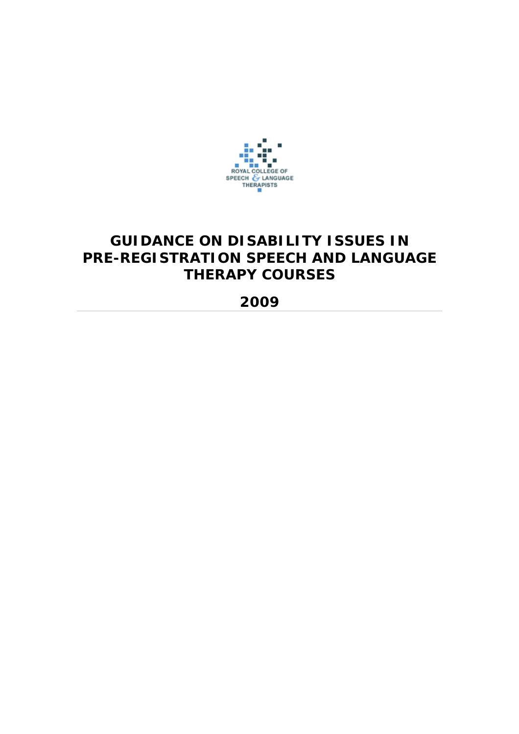

# **GUIDANCE ON DISABILITY ISSUES IN PRE-REGISTRATION SPEECH AND LANGUAGE THERAPY COURSES**

## **2009**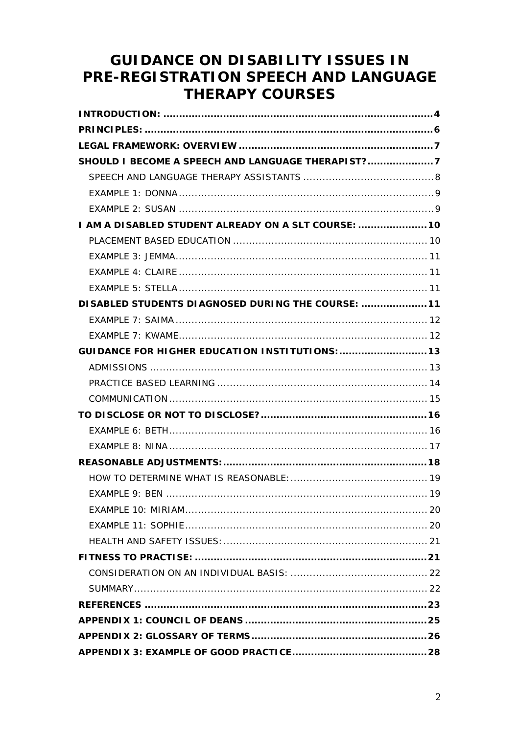# **GUIDANCE ON DISABILITY ISSUES IN** PRE-REGISTRATION SPEECH AND LANGUAGE **THERAPY COURSES**

| I AM A DISABLED STUDENT ALREADY ON A SLT COURSE:  10   |  |
|--------------------------------------------------------|--|
|                                                        |  |
|                                                        |  |
|                                                        |  |
|                                                        |  |
| DISABLED STUDENTS DIAGNOSED DURING THE COURSE:  11     |  |
|                                                        |  |
|                                                        |  |
| <b>GUIDANCE FOR HIGHER EDUCATION INSTITUTIONS:  13</b> |  |
|                                                        |  |
|                                                        |  |
|                                                        |  |
|                                                        |  |
|                                                        |  |
|                                                        |  |
|                                                        |  |
|                                                        |  |
|                                                        |  |
|                                                        |  |
|                                                        |  |
|                                                        |  |
|                                                        |  |
|                                                        |  |
|                                                        |  |
|                                                        |  |
|                                                        |  |
|                                                        |  |
|                                                        |  |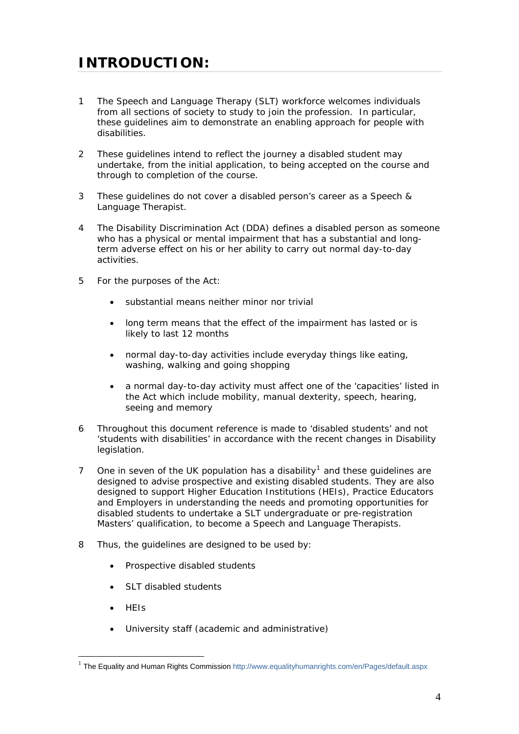# <span id="page-3-0"></span>**INTRODUCTION:**

- 1 The Speech and Language Therapy (SLT) workforce welcomes individuals from all sections of society to study to join the profession. In particular, these guidelines aim to demonstrate an enabling approach for people with disabilities.
- 2 These guidelines intend to reflect the journey a disabled student may undertake, from the initial application, to being accepted on the course and through to completion of the course.
- 3 These guidelines do not cover a disabled person's career as a Speech & Language Therapist.
- 4 The Disability Discrimination Act (DDA) defines a disabled person as someone who has a physical or mental impairment that has a substantial and longterm adverse effect on his or her ability to carry out normal day-to-day activities.
- 5 For the purposes of the Act:
	- substantial means neither minor nor trivial
	- long term means that the effect of the impairment has lasted or is likely to last 12 months
	- normal day-to-day activities include everyday things like eating, washing, walking and going shopping
	- a normal day-to-day activity must affect one of the 'capacities' listed in the Act which include mobility, manual dexterity, speech, hearing, seeing and memory
- 6 Throughout this document reference is made to 'disabled students' and not 'students with disabilities' in accordance with the recent changes in Disability legislation.
- 7 One in seven of the UK population has a disability<sup>[1](#page-3-1)</sup> and these guidelines are designed to advise prospective and existing disabled students. They are also designed to support Higher Education Institutions (HEIs), Practice Educators and Employers in understanding the needs and promoting opportunities for disabled students to undertake a SLT undergraduate or pre-registration Masters' qualification, to become a Speech and Language Therapists.
- 8 Thus, the guidelines are designed to be used by:
	- Prospective disabled students
	- SLT disabled students
	- HEIs

 $\overline{a}$ 

University staff (academic and administrative)

<span id="page-3-1"></span><sup>&</sup>lt;sup>1</sup> The Equality and Human Rights Commission<http://www.equalityhumanrights.com/en/Pages/default.aspx>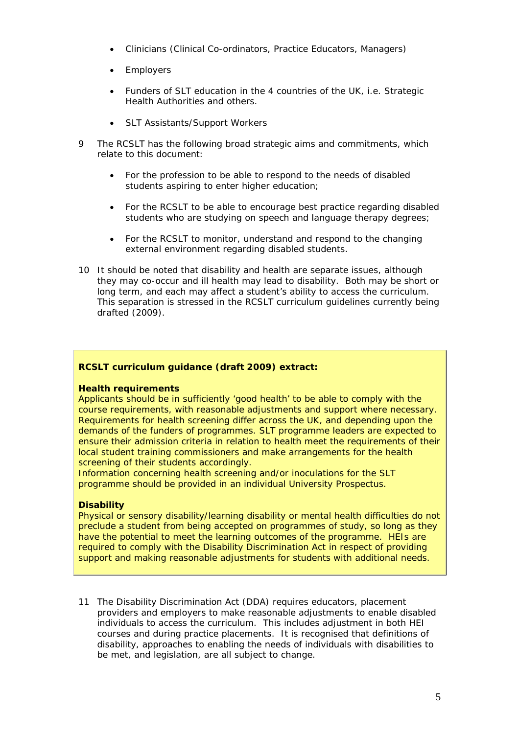- Clinicians (Clinical Co-ordinators, Practice Educators, Managers)
- Employers
- Funders of SLT education in the 4 countries of the UK, i.e. Strategic Health Authorities and others.
- SLT Assistants/Support Workers
- 9 The RCSLT has the following broad strategic aims and commitments, which relate to this document:
	- For the profession to be able to respond to the needs of disabled students aspiring to enter higher education;
	- For the RCSLT to be able to encourage best practice regarding disabled students who are studying on speech and language therapy degrees;
	- For the RCSLT to monitor, understand and respond to the changing external environment regarding disabled students.
- 10 It should be noted that disability and health are separate issues, although they may co-occur and ill health may lead to disability. Both may be short or long term, and each may affect a student's ability to access the curriculum. This separation is stressed in the RCSLT curriculum guidelines currently being drafted (2009).

#### **RCSLT curriculum guidance (draft 2009) extract:**

#### **Health requirements**

Applicants should be in sufficiently 'good health' to be able to comply with the course requirements, with reasonable adjustments and support where necessary. Requirements for health screening differ across the UK, and depending upon the demands of the funders of programmes. SLT programme leaders are expected to ensure their admission criteria in relation to health meet the requirements of their local student training commissioners and make arrangements for the health screening of their students accordingly.

Information concerning health screening and/or inoculations for the SLT programme should be provided in an individual University Prospectus.

#### **Disability**

Physical or sensory disability/learning disability or mental health difficulties do not preclude a student from being accepted on programmes of study, so long as they have the potential to meet the learning outcomes of the programme. HEIs are required to comply with the Disability Discrimination Act in respect of providing support and making reasonable adjustments for students with additional needs.

11 The Disability Discrimination Act (DDA) requires educators, placement providers and employers to make reasonable adjustments to enable disabled individuals to access the curriculum. This includes adjustment in both HEI courses and during practice placements. It is recognised that definitions of disability, approaches to enabling the needs of individuals with disabilities to be met, and legislation, are all subject to change.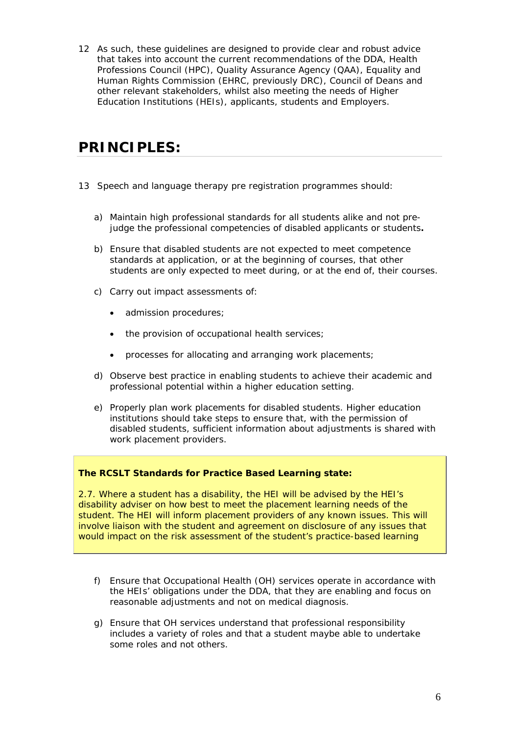<span id="page-5-0"></span>12 As such, these guidelines are designed to provide clear and robust advice that takes into account the current recommendations of the DDA, Health Professions Council (HPC), Quality Assurance Agency (QAA), Equality and Human Rights Commission (EHRC, previously DRC), Council of Deans and other relevant stakeholders, whilst also meeting the needs of Higher Education Institutions (HEIs), applicants, students and Employers.

## **PRINCIPLES:**

- 13 Speech and language therapy pre registration programmes should:
	- a) Maintain high professional standards for all students alike and not prejudge the professional competencies of disabled applicants or students*.*
	- b) Ensure that disabled students are not expected to meet competence standards at application, or at the beginning of courses, that other students are only expected to meet during, or at the end of, their courses.
	- c) Carry out impact assessments of:
		- admission procedures:
		- the provision of occupational health services;
		- processes for allocating and arranging work placements;
	- d) Observe best practice in enabling students to achieve their academic and professional potential within a higher education setting.
	- e) Properly plan work placements for disabled students. Higher education institutions should take steps to ensure that, with the permission of disabled students, sufficient information about adjustments is shared with work placement providers.

#### **The RCSLT Standards for Practice Based Learning state:**

2.7. Where a student has a disability, the HEI will be advised by the HEI's disability adviser on how best to meet the placement learning needs of the student. The HEI will inform placement providers of any known issues. This will involve liaison with the student and agreement on disclosure of any issues that would impact on the risk assessment of the student's practice-based learning

- f) Ensure that Occupational Health (OH) services operate in accordance with the HEIs' obligations under the DDA, that they are enabling and focus on reasonable adjustments and not on medical diagnosis.
- g) Ensure that OH services understand that professional responsibility includes a variety of roles and that a student maybe able to undertake some roles and not others.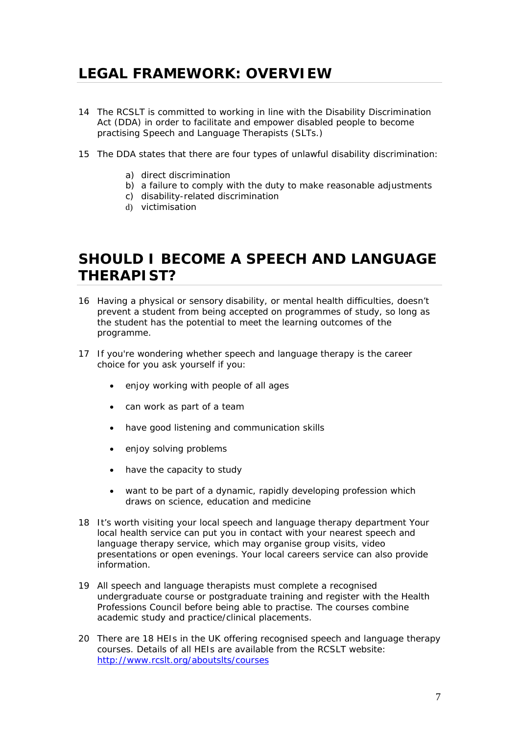# <span id="page-6-0"></span>**LEGAL FRAMEWORK: OVERVIEW**

- 14 The RCSLT is committed to working in line with the Disability Discrimination Act (DDA) in order to facilitate and empower disabled people to become practising Speech and Language Therapists (SLTs.)
- 15 The DDA states that there are four types of unlawful disability discrimination:
	- a) direct discrimination
	- b) a failure to comply with the duty to make reasonable adjustments
	- c) disability-related discrimination
	- d) victimisation

# **SHOULD I BECOME A SPEECH AND LANGUAGE THERAPIST?**

- 16 Having a physical or sensory disability, or mental health difficulties, doesn't prevent a student from being accepted on programmes of study, so long as the student has the potential to meet the learning outcomes of the programme.
- 17 If you're wondering whether speech and language therapy is the career choice for you ask yourself if you:
	- enjoy working with people of all ages
	- can work as part of a team
	- have good listening and communication skills
	- enjoy solving problems
	- have the capacity to study
	- want to be part of a dynamic, rapidly developing profession which draws on science, education and medicine
- 18 It's worth visiting your local speech and language therapy department Your local health service can put you in contact with your nearest speech and language therapy service, which may organise group visits, video presentations or open evenings. Your local careers service can also provide information.
- 19 All speech and language therapists must complete a recognised undergraduate course or postgraduate training and register with the Health Professions Council before being able to practise. The courses combine academic study and practice/clinical placements.
- 20 There are 18 HEIs in the UK offering recognised speech and language therapy courses. Details of all HEIs are available from the RCSLT website: <http://www.rcslt.org/aboutslts/courses>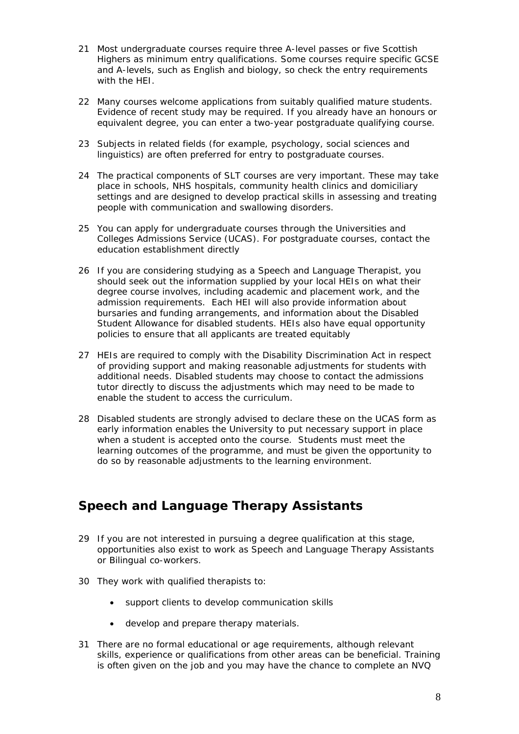- <span id="page-7-0"></span>21 Most undergraduate courses require three A-level passes or five Scottish Highers as minimum entry qualifications. Some courses require specific GCSE and A-levels, such as English and biology, so check the entry requirements with the HEI.
- 22 Many courses welcome applications from suitably qualified mature students. Evidence of recent study may be required. If you already have an honours or equivalent degree, you can enter a two-year postgraduate qualifying course.
- 23 Subjects in related fields (for example, psychology, social sciences and linguistics) are often preferred for entry to postgraduate courses.
- 24 The practical components of SLT courses are very important. These may take place in schools, NHS hospitals, community health clinics and domiciliary settings and are designed to develop practical skills in assessing and treating people with communication and swallowing disorders.
- 25 You can apply for undergraduate courses through the Universities and Colleges Admissions Service (UCAS). For postgraduate courses, contact the education establishment directly
- 26 If you are considering studying as a Speech and Language Therapist, you should seek out the information supplied by your local HEIs on what their degree course involves, including academic and placement work, and the admission requirements. Each HEI will also provide information about bursaries and funding arrangements, and information about the Disabled Student Allowance for disabled students. HEIs also have equal opportunity policies to ensure that all applicants are treated equitably
- 27 HEIs are required to comply with the Disability Discrimination Act in respect of providing support and making reasonable adjustments for students with additional needs. Disabled students may choose to contact the admissions tutor directly to discuss the adjustments which may need to be made to enable the student to access the curriculum.
- 28 Disabled students are strongly advised to declare these on the UCAS form as early information enables the University to put necessary support in place when a student is accepted onto the course. Students must meet the learning outcomes of the programme, and must be given the opportunity to do so by reasonable adjustments to the learning environment.

### *Speech and Language Therapy Assistants*

- 29 If you are not interested in pursuing a degree qualification at this stage, opportunities also exist to work as Speech and Language Therapy Assistants or Bilingual co-workers.
- 30 They work with qualified therapists to:
	- support clients to develop communication skills
	- develop and prepare therapy materials.
- 31 There are no formal educational or age requirements, although relevant skills, experience or qualifications from other areas can be beneficial. Training is often given on the job and you may have the chance to complete an NVQ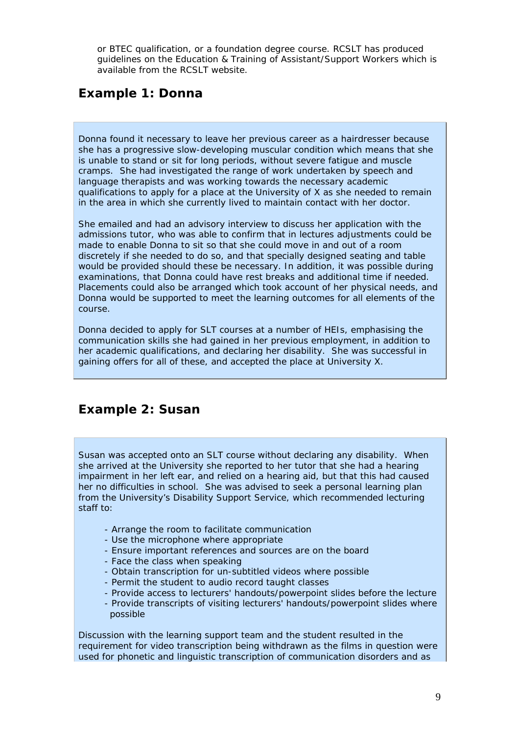<span id="page-8-0"></span>or BTEC qualification, or a foundation degree course. RCSLT has produced guidelines on the Education & Training of Assistant/Support Workers which is available from the RCSLT website.

## *Example 1: Donna*

Donna found it necessary to leave her previous career as a hairdresser because she has a progressive slow-developing muscular condition which means that she is unable to stand or sit for long periods, without severe fatigue and muscle cramps. She had investigated the range of work undertaken by speech and language therapists and was working towards the necessary academic qualifications to apply for a place at the University of X as she needed to remain in the area in which she currently lived to maintain contact with her doctor.

She emailed and had an advisory interview to discuss her application with the admissions tutor, who was able to confirm that in lectures adjustments could be made to enable Donna to sit so that she could move in and out of a room discretely if she needed to do so, and that specially designed seating and table would be provided should these be necessary. In addition, it was possible during examinations, that Donna could have rest breaks and additional time if needed. Placements could also be arranged which took account of her physical needs, and Donna would be supported to meet the learning outcomes for all elements of the course.

Donna decided to apply for SLT courses at a number of HEIs, emphasising the communication skills she had gained in her previous employment, in addition to her academic qualifications, and declaring her disability. She was successful in gaining offers for all of these, and accepted the place at University X.

### *Example 2: Susan*

Susan was accepted onto an SLT course without declaring any disability. When she arrived at the University she reported to her tutor that she had a hearing impairment in her left ear, and relied on a hearing aid, but that this had caused her no difficulties in school. She was advised to seek a personal learning plan from the University's Disability Support Service, which recommended lecturing staff to:

- Arrange the room to facilitate communication
- Use the microphone where appropriate
- Ensure important references and sources are on the board
- Face the class when speaking
- Obtain transcription for un-subtitled videos where possible
- Permit the student to audio record taught classes
- Provide access to lecturers' handouts/powerpoint slides before the lecture
- Provide transcripts of visiting lecturers' handouts/powerpoint slides where possible

Discussion with the learning support team and the student resulted in the requirement for video transcription being withdrawn as the films in question were used for phonetic and linguistic transcription of communication disorders and as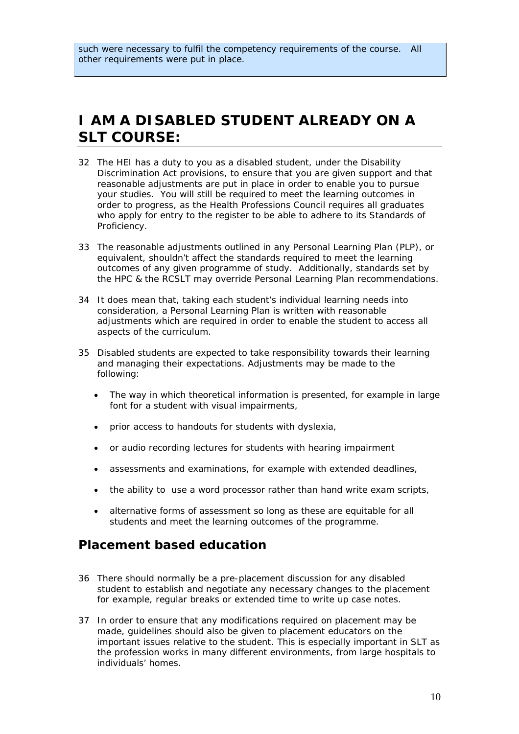# <span id="page-9-0"></span>**I AM A DISABLED STUDENT ALREADY ON A SLT COURSE:**

- 32 The HEI has a duty to you as a disabled student, under the Disability Discrimination Act provisions, to ensure that you are given support and that reasonable adjustments are put in place in order to enable you to pursue your studies. You will still be required to meet the learning outcomes in order to progress, as the Health Professions Council requires all graduates who apply for entry to the register to be able to adhere to its Standards of Proficiency.
- 33 The reasonable adjustments outlined in any Personal Learning Plan (PLP), or equivalent, shouldn't affect the standards required to meet the learning outcomes of any given programme of study. Additionally, standards set by the HPC & the RCSLT may override Personal Learning Plan recommendations.
- 34 It does mean that, taking each student's individual learning needs into consideration, a Personal Learning Plan is written with reasonable adjustments which are required in order to enable the student to access all aspects of the curriculum.
- 35 Disabled students are expected to take responsibility towards their learning and managing their expectations. Adjustments may be made to the following:
	- The way in which theoretical information is presented, for example in large font for a student with visual impairments,
	- prior access to handouts for students with dyslexia,
	- or audio recording lectures for students with hearing impairment
	- assessments and examinations, for example with extended deadlines,
	- the ability to use a word processor rather than hand write exam scripts,
	- alternative forms of assessment so long as these are equitable for all students and meet the learning outcomes of the programme.

### *Placement based education*

- 36 There should normally be a pre-placement discussion for any disabled student to establish and negotiate any necessary changes to the placement for example, regular breaks or extended time to write up case notes.
- 37 In order to ensure that any modifications required on placement may be made, guidelines should also be given to placement educators on the important issues relative to the student. This is especially important in SLT as the profession works in many different environments, from large hospitals to individuals' homes.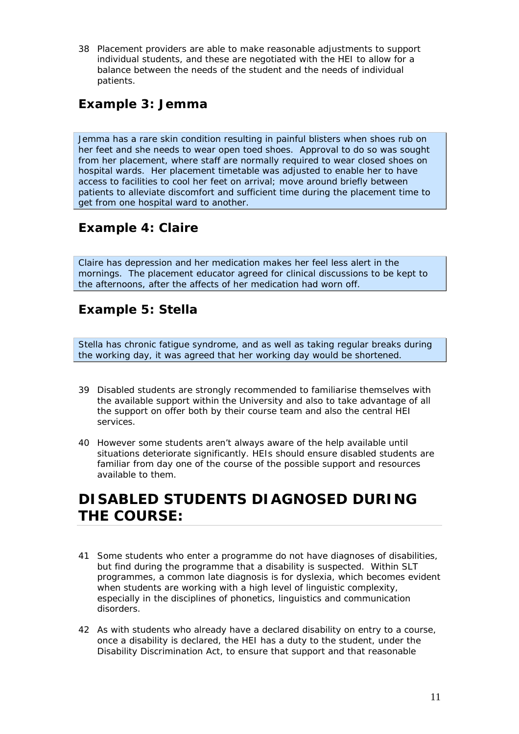<span id="page-10-0"></span>38 Placement providers are able to make reasonable adjustments to support individual students, and these are negotiated with the HEI to allow for a balance between the needs of the student and the needs of individual patients.

## *Example 3: Jemma*

Jemma has a rare skin condition resulting in painful blisters when shoes rub on her feet and she needs to wear open toed shoes. Approval to do so was sought from her placement, where staff are normally required to wear closed shoes on hospital wards. Her placement timetable was adjusted to enable her to have access to facilities to cool her feet on arrival; move around briefly between patients to alleviate discomfort and sufficient time during the placement time to get from one hospital ward to another.

## *Example 4: Claire*

Claire has depression and her medication makes her feel less alert in the mornings. The placement educator agreed for clinical discussions to be kept to the afternoons, after the affects of her medication had worn off.

### *Example 5: Stella*

Stella has chronic fatigue syndrome, and as well as taking regular breaks during the working day, it was agreed that her working day would be shortened.

- 39 Disabled students are strongly recommended to familiarise themselves with the available support within the University and also to take advantage of all the support on offer both by their course team and also the central HEI services.
- 40 However some students aren't always aware of the help available until situations deteriorate significantly. HEIs should ensure disabled students are familiar from day one of the course of the possible support and resources available to them.

# **DISABLED STUDENTS DIAGNOSED DURING THE COURSE:**

- 41 Some students who enter a programme do not have diagnoses of disabilities, but find during the programme that a disability is suspected. Within SLT programmes, a common late diagnosis is for dyslexia, which becomes evident when students are working with a high level of linguistic complexity, especially in the disciplines of phonetics, linguistics and communication disorders.
- 42 As with students who already have a declared disability on entry to a course, once a disability is declared, the HEI has a duty to the student, under the Disability Discrimination Act, to ensure that support and that reasonable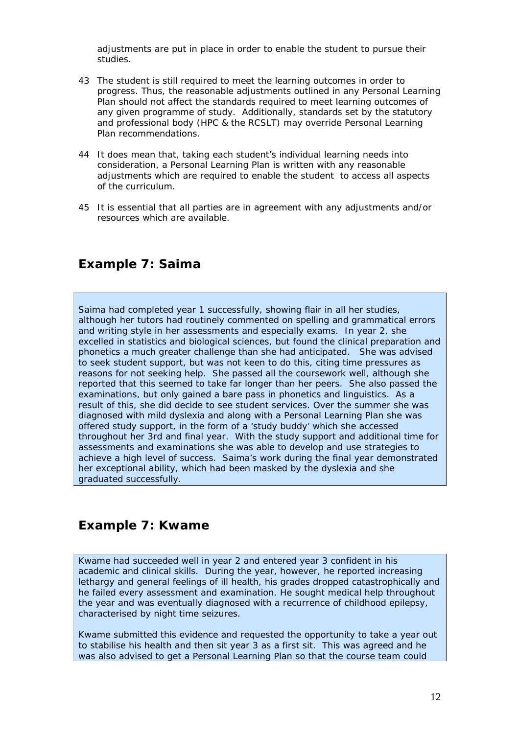<span id="page-11-0"></span>adjustments are put in place in order to enable the student to pursue their studies.

- 43 The student is still required to meet the learning outcomes in order to progress. Thus, the reasonable adjustments outlined in any Personal Learning Plan should not affect the standards required to meet learning outcomes of any given programme of study. Additionally, standards set by the statutory and professional body (HPC & the RCSLT) may override Personal Learning Plan recommendations.
- 44 It *does* mean that, taking each student's individual learning needs into consideration, a Personal Learning Plan is written with any reasonable adjustments which are required to enable the student to access all aspects of the curriculum.
- 45 It is essential that all parties are in agreement with any adjustments and/or resources which are available.

### *Example 7: Saima*

Saima had completed year 1 successfully, showing flair in all her studies, although her tutors had routinely commented on spelling and grammatical errors and writing style in her assessments and especially exams. In year 2, she excelled in statistics and biological sciences, but found the clinical preparation and phonetics a much greater challenge than she had anticipated. She was advised to seek student support, but was not keen to do this, citing time pressures as reasons for not seeking help. She passed all the coursework well, although she reported that this seemed to take far longer than her peers. She also passed the examinations, but only gained a bare pass in phonetics and linguistics. As a result of this, she did decide to see student services. Over the summer she was diagnosed with mild dyslexia and along with a Personal Learning Plan she was offered study support, in the form of a 'study buddy' which she accessed throughout her 3rd and final year. With the study support and additional time for assessments and examinations she was able to develop and use strategies to achieve a high level of success. Saima's work during the final year demonstrated her exceptional ability, which had been masked by the dyslexia and she graduated successfully.

### *Example 7: Kwame*

Kwame had succeeded well in year 2 and entered year 3 confident in his academic and clinical skills. During the year, however, he reported increasing lethargy and general feelings of ill health, his grades dropped catastrophically and he failed every assessment and examination. He sought medical help throughout the year and was eventually diagnosed with a recurrence of childhood epilepsy, characterised by night time seizures.

Kwame submitted this evidence and requested the opportunity to take a year out to stabilise his health and then sit year 3 as a first sit. This was agreed and he was also advised to get a Personal Learning Plan so that the course team could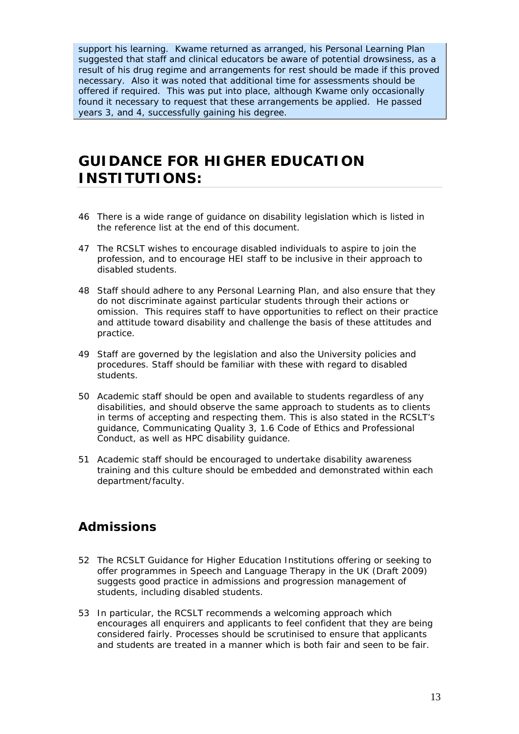<span id="page-12-0"></span>support his learning. Kwame returned as arranged, his Personal Learning Plan suggested that staff and clinical educators be aware of potential drowsiness, as a result of his drug regime and arrangements for rest should be made if this proved necessary. Also it was noted that additional time for assessments should be offered if required. This was put into place, although Kwame only occasionally found it necessary to request that these arrangements be applied. He passed years 3, and 4, successfully gaining his degree.

# **GUIDANCE FOR HIGHER EDUCATION INSTITUTIONS:**

- 46 There is a wide range of guidance on disability legislation which is listed in the reference list at the end of this document.
- 47 The RCSLT wishes to encourage disabled individuals to aspire to join the profession, and to encourage HEI staff to be inclusive in their approach to disabled students.
- 48 Staff should adhere to any Personal Learning Plan, and also ensure that they do not discriminate against particular students through their actions or omission. This requires staff to have opportunities to reflect on their practice and attitude toward disability and challenge the basis of these attitudes and practice.
- 49 Staff are governed by the legislation and also the University policies and procedures. Staff should be familiar with these with regard to disabled students.
- 50 Academic staff should be open and available to students regardless of any disabilities, and should observe the same approach to students as to clients in terms of accepting and respecting them. This is also stated in the RCSLT's guidance, Communicating Quality 3, 1.6 Code of Ethics and Professional Conduct, as well as HPC disability guidance.
- 51 Academic staff should be encouraged to undertake disability awareness training and this culture should be embedded and demonstrated within each department/faculty.

### *Admissions*

- 52 The RCSLT Guidance for Higher Education Institutions offering or seeking to offer programmes in Speech and Language Therapy in the UK (Draft 2009) suggests good practice in admissions and progression management of students, including disabled students.
- 53 In particular, the RCSLT recommends a welcoming approach which encourages all enquirers and applicants to feel confident that they are being considered fairly. Processes should be scrutinised to ensure that applicants and students are treated in a manner which is both fair and seen to be fair.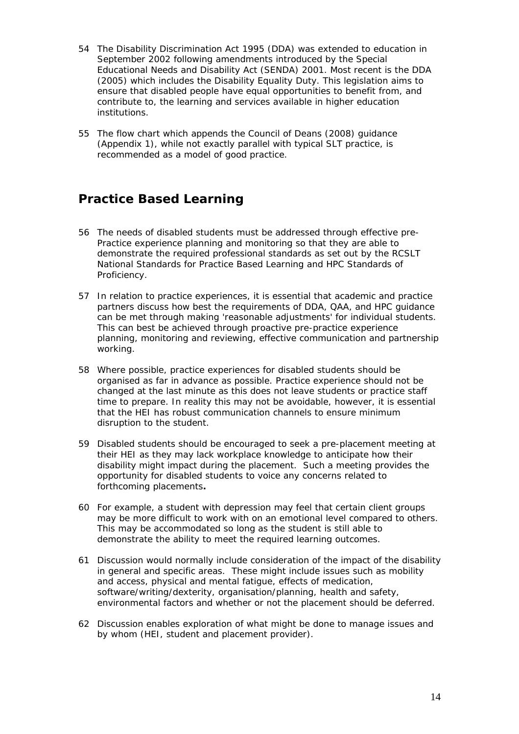- <span id="page-13-0"></span>54 The Disability Discrimination Act 1995 (DDA) was extended to education in September 2002 following amendments introduced by the Special Educational Needs and Disability Act (SENDA) 2001. Most recent is the DDA (2005) which includes the Disability Equality Duty. This legislation aims to ensure that disabled people have equal opportunities to benefit from, and contribute to, the learning and services available in higher education institutions.
- 55 The flow chart which appends the Council of Deans (2008) guidance (Appendix 1), while not exactly parallel with typical SLT practice, is recommended as a model of good practice.

## *Practice Based Learning*

- 56 The needs of disabled students must be addressed through effective pre-Practice experience planning and monitoring so that they are able to demonstrate the required professional standards as set out by the RCSLT National Standards for Practice Based Learning and HPC Standards of Proficiency.
- 57 In relation to practice experiences, it is essential that academic and practice partners discuss how best the requirements of DDA, QAA, and HPC guidance can be met through making 'reasonable adjustments' for individual students. This can best be achieved through proactive pre-practice experience planning, monitoring and reviewing, effective communication and partnership working.
- 58 Where possible, practice experiences for disabled students should be organised as far in advance as possible. Practice experience should not be changed at the last minute as this does not leave students or practice staff time to prepare. In reality this may not be avoidable, however, it is essential that the HEI has robust communication channels to ensure minimum disruption to the student.
- 59 Disabled students should be encouraged to seek a pre-placement meeting at their HEI as they may lack workplace knowledge to anticipate how their disability might impact during the placement. Such a meeting provides the opportunity for disabled students to voice any concerns related to forthcoming placements*.*
- 60 For example, a student with depression may feel that certain client groups may be more difficult to work with on an emotional level compared to others. This may be accommodated so long as the student is still able to demonstrate the ability to meet the required learning outcomes.
- 61 Discussion would normally include consideration of the *impact* of the disability in general and specific areas. These might include issues such as mobility and access, physical and mental fatigue, effects of medication, software/writing/dexterity, organisation/planning, health and safety, environmental factors and whether or not the placement should be deferred.
- 62 Discussion enables exploration of what might be done to manage issues and by whom (HEI, student and placement provider).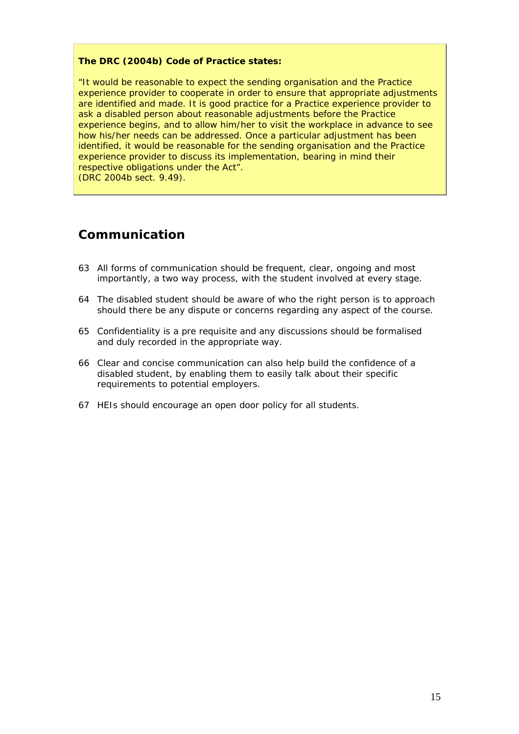#### <span id="page-14-0"></span>**The DRC (2004b) Code of Practice states:**

"It would be reasonable to expect the sending organisation and the Practice experience provider to cooperate in order to ensure that appropriate adjustments are identified and made. It is good practice for a Practice experience provider to ask a disabled person about reasonable adjustments before the Practice experience begins, and to allow him/her to visit the workplace in advance to see how his/her needs can be addressed. Once a particular adjustment has been identified, it would be reasonable for the sending organisation and the Practice experience provider to discuss its implementation, bearing in mind their respective obligations under the Act". (DRC 2004b sect. 9.49).

### *Communication*

- 63 All forms of communication should be frequent, clear, ongoing and most importantly, a two way process, with the student involved at every stage.
- 64 The disabled student should be aware of who the right person is to approach should there be any dispute or concerns regarding any aspect of the course.
- 65 Confidentiality is a pre requisite and any discussions should be formalised and duly recorded in the appropriate way.
- 66 Clear and concise communication can also help build the confidence of a disabled student, by enabling them to easily talk about their specific requirements to potential employers.
- 67 HEIs should encourage an open door policy for all students.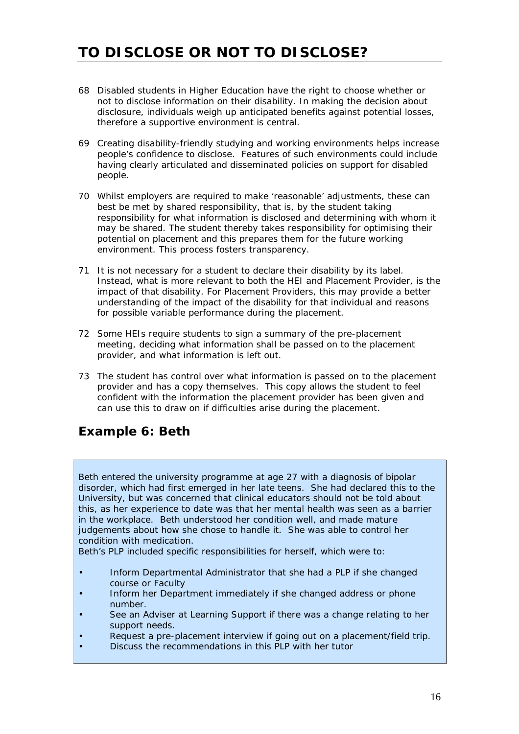- <span id="page-15-0"></span>68 Disabled students in Higher Education have the right to choose whether or not to disclose information on their disability. In making the decision about disclosure, individuals weigh up anticipated benefits against potential losses, therefore a supportive environment is central.
- 69 Creating disability-friendly studying and working environments helps increase people's confidence to disclose. Features of such environments could include having clearly articulated and disseminated policies on support for disabled people.
- 70 Whilst employers are required to make 'reasonable' adjustments, these can best be met by shared responsibility, that is, by the student taking responsibility for what information is disclosed and determining with whom it may be shared. The student thereby takes responsibility for optimising their potential on placement and this prepares them for the future working environment. This process fosters transparency.
- 71 It is not necessary for a student to declare their disability by its label. Instead, what is more relevant to both the HEI and Placement Provider, is the impact of that disability. For Placement Providers, this may provide a better understanding of the impact of the disability for that individual and reasons for possible variable performance during the placement.
- 72 Some HEIs require students to sign a summary of the pre-placement meeting, deciding what information shall be passed on to the placement provider, and what information is left out.
- 73 The student has control over what information is passed on to the placement provider and has a copy themselves. This copy allows the student to feel confident with the information the placement provider has been given and can use this to draw on if difficulties arise during the placement.

## *Example 6: Beth*

Beth entered the university programme at age 27 with a diagnosis of bipolar disorder, which had first emerged in her late teens. She had declared this to the University, but was concerned that clinical educators should not be told about this, as her experience to date was that her mental health was seen as a barrier in the workplace. Beth understood her condition well, and made mature judgements about how she chose to handle it. She was able to control her condition with medication.

Beth's PLP included specific responsibilities for herself, which were to:

- Inform Departmental Administrator that she had a PLP if she changed course or Faculty
- Inform her Department immediately if she changed address or phone number.
- See an Adviser at Learning Support if there was a change relating to her support needs.
- Request a pre-placement interview if going out on a placement/field trip.
- Discuss the recommendations in this PLP with her tutor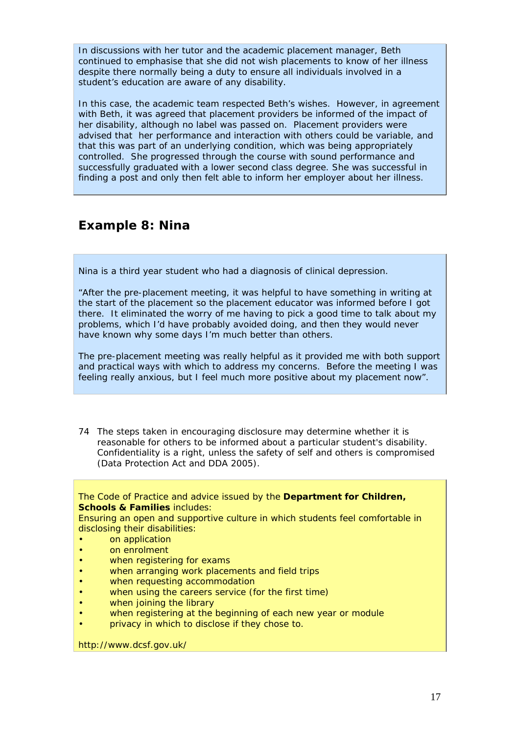<span id="page-16-0"></span>In discussions with her tutor and the academic placement manager, Beth continued to emphasise that she did not wish placements to know of her illness despite there normally being a duty to ensure all individuals involved in a student's education are aware of any disability.

In this case, the academic team respected Beth's wishes. However, in agreement with Beth, it was agreed that placement providers be informed of the impact of her disability, although no label was passed on. Placement providers were advised that her performance and interaction with others could be variable, and that this was part of an underlying condition, which was being appropriately controlled. She progressed through the course with sound performance and successfully graduated with a lower second class degree. She was successful in finding a post and only then felt able to inform her employer about her illness.

### *Example 8: Nina*

Nina is a third year student who had a diagnosis of clinical depression.

"After the pre-placement meeting, it was helpful to have something in writing at the start of the placement so the placement educator was informed before I got there. It eliminated the worry of me having to pick a good time to talk about my problems, which I'd have probably avoided doing, and then they would never have known why some days I'm much better than others.

The pre-placement meeting was really helpful as it provided me with both support and practical ways with which to address my concerns. Before the meeting I was feeling really anxious, but I feel much more positive about my placement now".

74 The steps taken in encouraging disclosure may determine whether it is reasonable for others to be informed about a particular student's disability. Confidentiality is a right, unless the safety of self and others is compromised (Data Protection Act and DDA 2005).

The Code of Practice and advice issued by the **Department for Children, Schools & Families includes:** 

Ensuring an open and supportive culture in which students feel comfortable in disclosing their disabilities:

- on application
- on enrolment
- when registering for exams
- when arranging work placements and field trips
- when requesting accommodation
- when using the careers service (for the first time)
- when joining the library
- when registering at the beginning of each new year or module
- privacy in which to disclose if they chose to.

http://www.dcsf.gov.uk/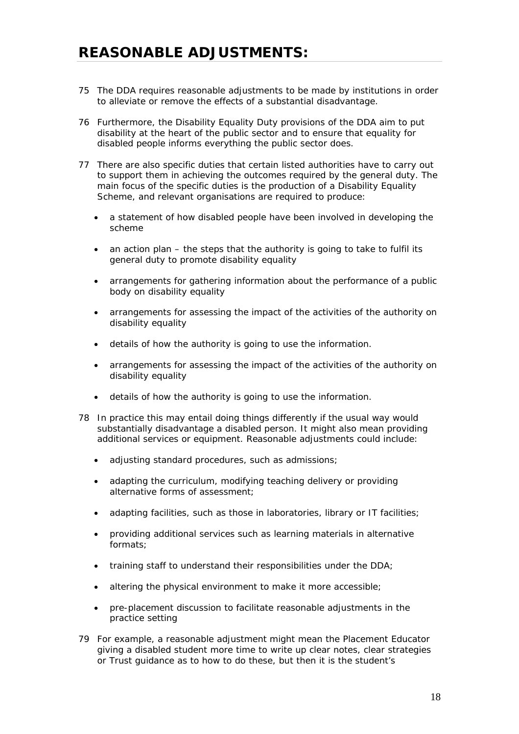- <span id="page-17-0"></span>75 The DDA requires reasonable adjustments to be made by institutions in order to alleviate or remove the effects of a substantial disadvantage.
- 76 Furthermore, the Disability Equality Duty provisions of the DDA aim to put disability at the heart of the public sector and to ensure that equality for disabled people informs everything the public sector does.
- 77 There are also specific duties that certain listed authorities have to carry out to support them in achieving the outcomes required by the general duty. The main focus of the specific duties is the production of a Disability Equality Scheme, and relevant organisations are required to produce:
	- a statement of how disabled people have been involved in developing the scheme
	- an action plan the steps that the authority is going to take to fulfil its general duty to promote disability equality
	- arrangements for gathering information about the performance of a public body on disability equality
	- arrangements for assessing the impact of the activities of the authority on disability equality
	- details of how the authority is going to use the information.
	- arrangements for assessing the impact of the activities of the authority on disability equality
	- details of how the authority is going to use the information.
- 78 In practice this may entail doing things differently if the usual way would substantially disadvantage a disabled person. It might also mean providing additional services or equipment. Reasonable adjustments could include:
	- adjusting standard procedures, such as admissions;
	- adapting the curriculum, modifying teaching delivery or providing alternative forms of assessment;
	- adapting facilities, such as those in laboratories, library or IT facilities;
	- providing additional services such as learning materials in alternative formats;
	- training staff to understand their responsibilities under the DDA;
	- altering the physical environment to make it more accessible;
	- pre-placement discussion to facilitate reasonable adjustments in the practice setting
- 79 For example, a reasonable adjustment might mean the Placement Educator giving a disabled student more time to write up clear notes, clear strategies or Trust guidance as to how to do these, but then it is the student's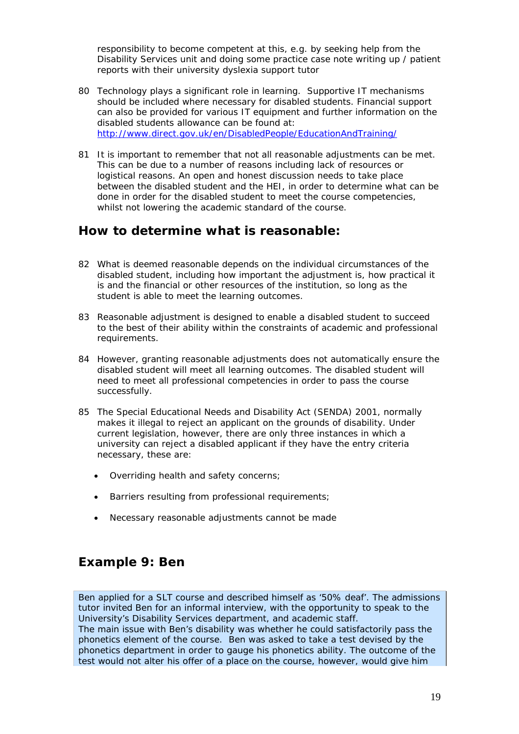<span id="page-18-0"></span>responsibility to become competent at this, e.g. by seeking help from the Disability Services unit and doing some practice case note writing up / patient reports with their university dyslexia support tutor

- 80 Technology plays a significant role in learning. Supportive IT mechanisms should be included where necessary for disabled students. Financial support can also be provided for various IT equipment and further information on the disabled students allowance can be found at: <http://www.direct.gov.uk/en/DisabledPeople/EducationAndTraining/>
- 81 It is important to remember that not all reasonable adjustments can be met. This can be due to a number of reasons including lack of resources or logistical reasons. An open and honest discussion needs to take place between the disabled student and the HEI, in order to determine what can be done in order for the disabled student to meet the course competencies, whilst not lowering the academic standard of the course.

### *How to determine what is reasonable:*

- 82 What is deemed reasonable depends on the individual circumstances of the disabled student, including how important the adjustment is, how practical it is and the financial or other resources of the institution, so long as the student is able to meet the learning outcomes.
- 83 Reasonable adjustment is designed to enable a disabled student to succeed to the best of their ability within the constraints of academic and professional requirements.
- 84 However, granting reasonable adjustments does not automatically ensure the disabled student will meet all learning outcomes. The disabled student will need to meet all professional competencies in order to pass the course successfully.
- 85 The Special Educational Needs and Disability Act (SENDA) 2001, normally makes it illegal to reject an applicant on the grounds of disability. Under current legislation, however, there are only three instances in which a university can reject a disabled applicant if they have the entry criteria necessary, these are:
	- Overriding health and safety concerns;
	- Barriers resulting from professional requirements;
	- Necessary reasonable adjustments cannot be made

### *Example 9: Ben*

Ben applied for a SLT course and described himself as '50% deaf'. The admissions tutor invited Ben for an informal interview, with the opportunity to speak to the University's Disability Services department, and academic staff. The main issue with Ben's disability was whether he could satisfactorily pass the phonetics element of the course. Ben was asked to take a test devised by the phonetics department in order to gauge his phonetics ability. The outcome of the test would not alter his offer of a place on the course, however, would give him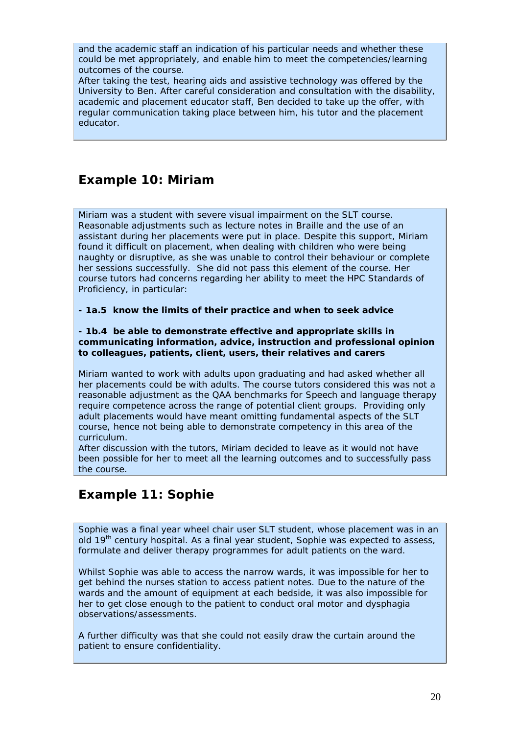<span id="page-19-0"></span>and the academic staff an indication of his particular needs and whether these could be met appropriately, and enable him to meet the competencies/learning outcomes of the course.

After taking the test, hearing aids and assistive technology was offered by the University to Ben. After careful consideration and consultation with the disability, academic and placement educator staff, Ben decided to take up the offer, with regular communication taking place between him, his tutor and the placement educator.

### *Example 10: Miriam*

Miriam was a student with severe visual impairment on the SLT course. Reasonable adjustments such as lecture notes in Braille and the use of an assistant during her placements were put in place. Despite this support, Miriam found it difficult on placement, when dealing with children who were being naughty or disruptive, as she was unable to control their behaviour or complete her sessions successfully. She did not pass this element of the course. Her course tutors had concerns regarding her ability to meet the HPC Standards of Proficiency, in particular:

**- 1a.5 know the limits of their practice and when to seek advice** 

**- 1b.4 be able to demonstrate effective and appropriate skills in communicating information, advice, instruction and professional opinion to colleagues, patients, client, users, their relatives and carers** 

Miriam wanted to work with adults upon graduating and had asked whether all her placements could be with adults. The course tutors considered this was not a reasonable adjustment as the QAA benchmarks for Speech and language therapy require competence across the range of potential client groups. Providing only adult placements would have meant omitting fundamental aspects of the SLT course, hence not being able to demonstrate competency in this area of the curriculum.

After discussion with the tutors, Miriam decided to leave as it would not have been possible for her to meet all the learning outcomes and to successfully pass the course.

## *Example 11: Sophie*

Sophie was a final year wheel chair user SLT student, whose placement was in an old 19<sup>th</sup> century hospital. As a final year student, Sophie was expected to assess, formulate and deliver therapy programmes for adult patients on the ward.

Whilst Sophie was able to access the narrow wards, it was impossible for her to get behind the nurses station to access patient notes. Due to the nature of the wards and the amount of equipment at each bedside, it was also impossible for her to get close enough to the patient to conduct oral motor and dysphagia observations/assessments.

A further difficulty was that she could not easily draw the curtain around the patient to ensure confidentiality.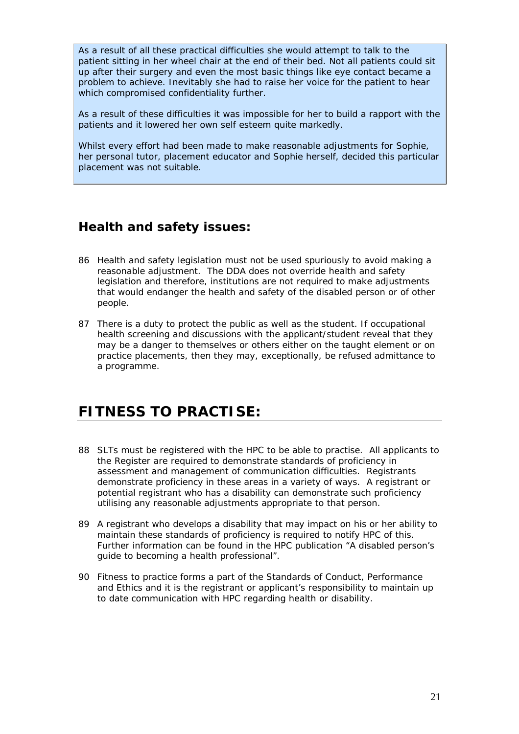<span id="page-20-0"></span>As a result of all these practical difficulties she would attempt to talk to the patient sitting in her wheel chair at the end of their bed. Not all patients could sit up after their surgery and even the most basic things like eye contact became a problem to achieve. Inevitably she had to raise her voice for the patient to hear which compromised confidentiality further.

As a result of these difficulties it was impossible for her to build a rapport with the patients and it lowered her own self esteem quite markedly.

Whilst every effort had been made to make reasonable adjustments for Sophie, her personal tutor, placement educator and Sophie herself, decided this particular placement was not suitable.

### *Health and safety issues:*

- 86 Health and safety legislation must not be used spuriously to avoid making a reasonable adjustment. The DDA does not override health and safety legislation and therefore, institutions are not required to make adjustments that would endanger the health and safety of the disabled person or of other people.
- 87 There is a duty to protect the public as well as the student. If occupational health screening and discussions with the applicant/student reveal that they may be a danger to themselves or others either on the taught element or on practice placements, then they may, exceptionally, be refused admittance to a programme.

# **FITNESS TO PRACTISE:**

- 88 SLTs must be registered with the HPC to be able to practise. All applicants to the Register are required to demonstrate standards of proficiency in assessment and management of communication difficulties. Registrants demonstrate proficiency in these areas in a variety of ways. A registrant or potential registrant who has a disability can demonstrate such proficiency utilising any reasonable adjustments appropriate to that person.
- 89 A registrant who develops a disability that may impact on his or her ability to maintain these standards of proficiency is required to notify HPC of this. Further information can be found in the HPC publication "A disabled person's guide to becoming a health professional".
- 90 Fitness to practice forms a part of the Standards of Conduct, Performance and Ethics and it is the registrant or applicant's responsibility to maintain up to date communication with HPC regarding health or disability.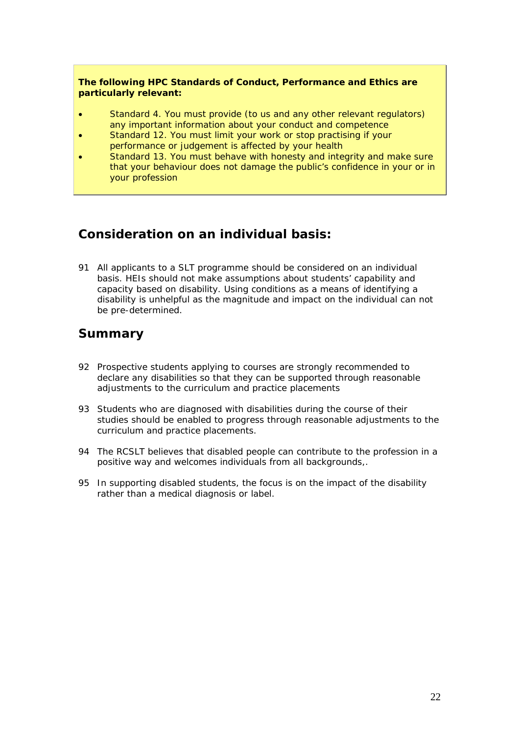<span id="page-21-0"></span>**The following HPC Standards of Conduct, Performance and Ethics are particularly relevant:** 

- Standard 4. You must provide (to us and any other relevant regulators) any important information about your conduct and competence
- Standard 12. You must limit your work or stop practising if your performance or judgement is affected by your health
- Standard 13. You must behave with honesty and integrity and make sure that your behaviour does not damage the public's confidence in your or in your profession

### *Consideration on an individual basis:*

91 All applicants to a SLT programme should be considered on an individual basis. HEIs should not make assumptions about students' capability and capacity based on disability. Using conditions as a means of identifying a disability is unhelpful as the magnitude and impact on the individual can not be pre-determined.

### *Summary*

- 92 Prospective students applying to courses are strongly recommended to declare any disabilities so that they can be supported through reasonable adjustments to the curriculum and practice placements
- 93 Students who are diagnosed with disabilities during the course of their studies should be enabled to progress through reasonable adjustments to the curriculum and practice placements.
- 94 The RCSLT believes that disabled people can contribute to the profession in a positive way and welcomes individuals from all backgrounds,.
- 95 In supporting disabled students, the focus is on the *impact* of the disability rather than a medical diagnosis or label.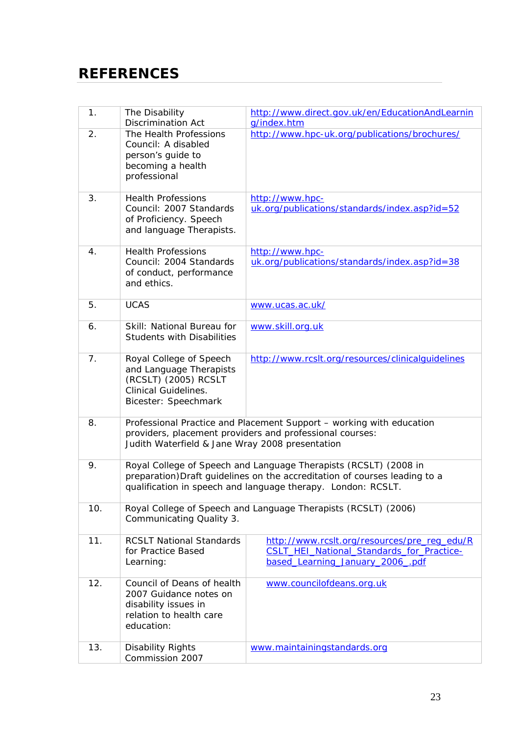# <span id="page-22-0"></span>**REFERENCES**

| 1.  | The Disability<br><b>Discrimination Act</b>                                                                                       | http://www.direct.gov.uk/en/EducationAndLearnin<br>g/index.htm                                                                                                                                                 |
|-----|-----------------------------------------------------------------------------------------------------------------------------------|----------------------------------------------------------------------------------------------------------------------------------------------------------------------------------------------------------------|
| 2.  | The Health Professions<br>Council: A disabled<br>person's guide to<br>becoming a health<br>professional                           | http://www.hpc-uk.org/publications/brochures/                                                                                                                                                                  |
| 3.  | <b>Health Professions</b><br>Council: 2007 Standards<br>of Proficiency. Speech<br>and language Therapists.                        | http://www.hpc-<br>uk.org/publications/standards/index.asp?id=52                                                                                                                                               |
| 4.  | <b>Health Professions</b><br>Council: 2004 Standards<br>of conduct, performance<br>and ethics.                                    | http://www.hpc-<br>uk.org/publications/standards/index.asp?id=38                                                                                                                                               |
| 5.  | <b>UCAS</b>                                                                                                                       | www.ucas.ac.uk/                                                                                                                                                                                                |
| 6.  | Skill: National Bureau for<br><b>Students with Disabilities</b>                                                                   | www.skill.org.uk                                                                                                                                                                                               |
| 7.  | Royal College of Speech<br>and Language Therapists<br>(RCSLT) (2005) RCSLT<br><b>Clinical Guidelines.</b><br>Bicester: Speechmark | http://www.rcslt.org/resources/clinicalquidelines                                                                                                                                                              |
| 8.  | Judith Waterfield & Jane Wray 2008 presentation                                                                                   | Professional Practice and Placement Support - working with education<br>providers, placement providers and professional courses:                                                                               |
| 9.  |                                                                                                                                   | Royal College of Speech and Language Therapists (RCSLT) (2008 in<br>preparation) Draft guidelines on the accreditation of courses leading to a<br>qualification in speech and language therapy. London: RCSLT. |
| 10. | Communicating Quality 3.                                                                                                          | Royal College of Speech and Language Therapists (RCSLT) (2006)                                                                                                                                                 |
| 11. | <b>RCSLT National Standards</b><br>for Practice Based<br>Learning:                                                                | http://www.rcslt.org/resources/pre_reg_edu/R<br>CSLT_HEI_National_Standards_for_Practice-<br>based Learning January 2006 .pdf                                                                                  |
| 12. | Council of Deans of health<br>2007 Guidance notes on<br>disability issues in<br>relation to health care<br>education:             | www.councilofdeans.org.uk                                                                                                                                                                                      |
| 13. | Disability Rights<br>Commission 2007                                                                                              | www.maintainingstandards.org                                                                                                                                                                                   |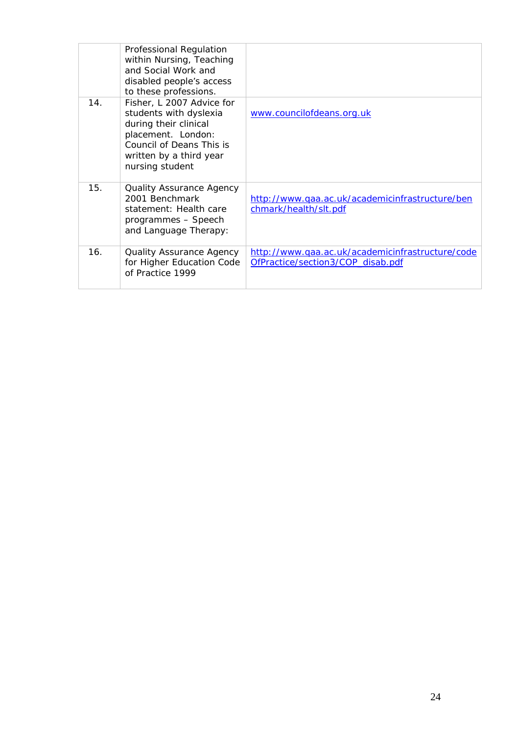|     | Professional Regulation<br>within Nursing, Teaching<br>and Social Work and<br>disabled people's access<br>to these professions.                                              |                                                                                       |
|-----|------------------------------------------------------------------------------------------------------------------------------------------------------------------------------|---------------------------------------------------------------------------------------|
| 14. | Fisher, L 2007 Advice for<br>students with dyslexia<br>during their clinical<br>placement. London:<br>Council of Deans This is<br>written by a third year<br>nursing student | www.councilofdeans.org.uk                                                             |
| 15. | <b>Quality Assurance Agency</b><br>2001 Benchmark<br>statement: Health care<br>programmes - Speech<br>and Language Therapy:                                                  | http://www.qaa.ac.uk/academicinfrastructure/ben<br>chmark/health/slt.pdf              |
| 16. | <b>Quality Assurance Agency</b><br>for Higher Education Code<br>of Practice 1999                                                                                             | http://www.qaa.ac.uk/academicinfrastructure/code<br>OfPractice/section3/COP_disab.pdf |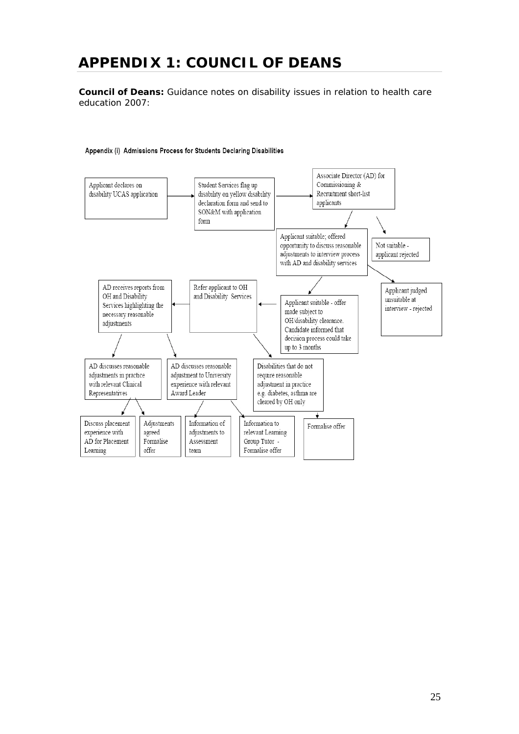# <span id="page-24-0"></span>**APPENDIX 1: COUNCIL OF DEANS**

**Council of Deans:** Guidance notes on disability issues in relation to health care education 2007:

#### Appendix (i) Admissions Process for Students Declaring Disabilities

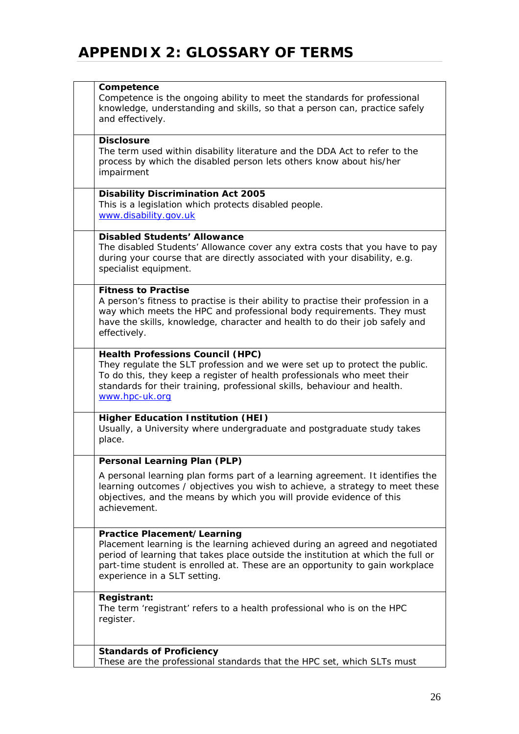# <span id="page-25-0"></span>**APPENDIX 2: GLOSSARY OF TERMS**

| Competence<br>Competence is the ongoing ability to meet the standards for professional<br>knowledge, understanding and skills, so that a person can, practice safely<br>and effectively.                                                                                                                              |
|-----------------------------------------------------------------------------------------------------------------------------------------------------------------------------------------------------------------------------------------------------------------------------------------------------------------------|
| <b>Disclosure</b><br>The term used within disability literature and the DDA Act to refer to the<br>process by which the disabled person lets others know about his/her<br>impairment                                                                                                                                  |
| <b>Disability Discrimination Act 2005</b><br>This is a legislation which protects disabled people.<br>www.disability.gov.uk                                                                                                                                                                                           |
| <b>Disabled Students' Allowance</b><br>The disabled Students' Allowance cover any extra costs that you have to pay<br>during your course that are directly associated with your disability, e.g.<br>specialist equipment.                                                                                             |
| <b>Fitness to Practise</b><br>A person's fitness to practise is their ability to practise their profession in a<br>way which meets the HPC and professional body requirements. They must<br>have the skills, knowledge, character and health to do their job safely and<br>effectively.                               |
| <b>Health Professions Council (HPC)</b><br>They regulate the SLT profession and we were set up to protect the public.<br>To do this, they keep a register of health professionals who meet their<br>standards for their training, professional skills, behaviour and health.<br>www.hpc-uk.org                        |
| <b>Higher Education Institution (HEI)</b><br>Usually, a University where undergraduate and postgraduate study takes<br>place.                                                                                                                                                                                         |
| <b>Personal Learning Plan (PLP)</b>                                                                                                                                                                                                                                                                                   |
| A personal learning plan forms part of a learning agreement. It identifies the<br>learning outcomes / objectives you wish to achieve, a strategy to meet these<br>objectives, and the means by which you will provide evidence of this<br>achievement.                                                                |
| <b>Practice Placement/Learning</b><br>Placement learning is the learning achieved during an agreed and negotiated<br>period of learning that takes place outside the institution at which the full or<br>part-time student is enrolled at. These are an opportunity to gain workplace<br>experience in a SLT setting. |
| <b>Registrant:</b><br>The term 'registrant' refers to a health professional who is on the HPC<br>register.                                                                                                                                                                                                            |
| <b>Standards of Proficiency</b><br>These are the professional standards that the HPC set, which SLTs must                                                                                                                                                                                                             |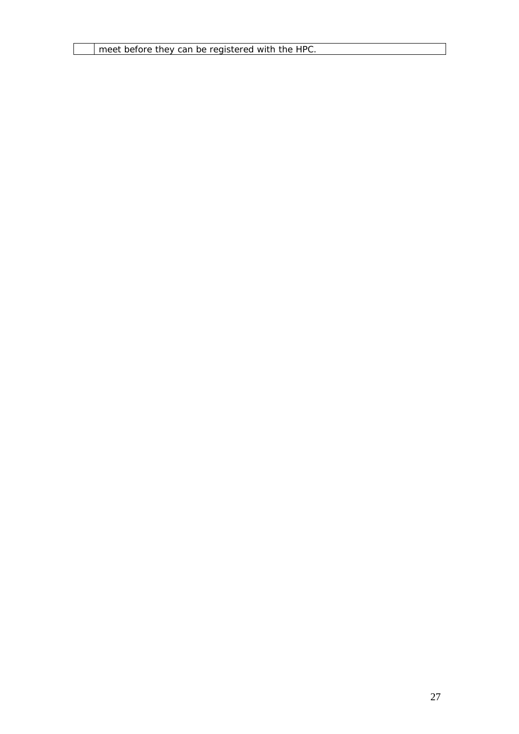meet before they can be registered with the HPC.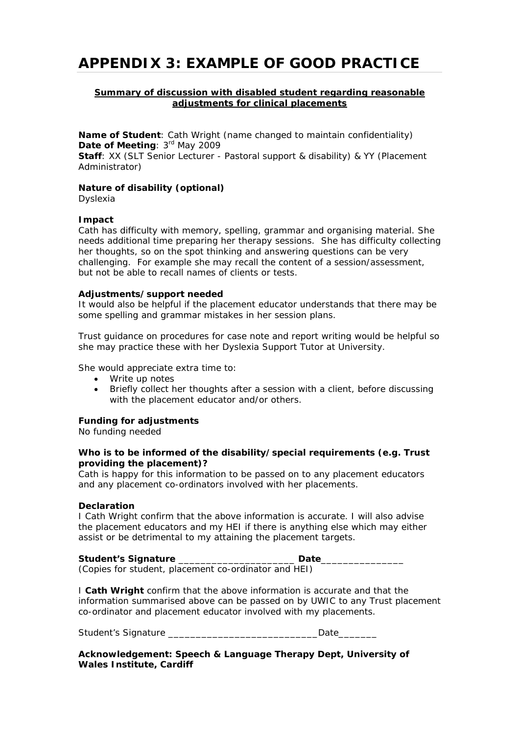## <span id="page-27-0"></span>**APPENDIX 3: EXAMPLE OF GOOD PRACTICE**

#### **Summary of discussion with disabled student regarding reasonable adjustments for clinical placements**

**Name of Student**: Cath Wright (name changed to maintain confidentiality) **Date of Meeting: 3rd May 2009** 

**Staff**: XX (SLT Senior Lecturer - Pastoral support & disability) & YY (Placement Administrator)

#### **Nature of disability (optional)**

Dyslexia

#### **Impact**

Cath has difficulty with memory, spelling, grammar and organising material. She needs additional time preparing her therapy sessions. She has difficulty collecting her thoughts, so on the spot thinking and answering questions can be very challenging. For example she may recall the content of a session/assessment, but not be able to recall names of clients or tests.

#### **Adjustments/support needed**

It would also be helpful if the placement educator understands that there may be some spelling and grammar mistakes in her session plans.

Trust guidance on procedures for case note and report writing would be helpful so she may practice these with her Dyslexia Support Tutor at University.

She would appreciate extra time to:

- Write up notes
- Briefly collect her thoughts after a session with a client, before discussing with the placement educator and/or others.

#### **Funding for adjustments**

No funding needed

#### **Who is to be informed of the disability/special requirements (e.g. Trust providing the placement)?**

Cath is happy for this information to be passed on to any placement educators and any placement co-ordinators involved with her placements.

#### **Declaration**

I Cath Wright confirm that the above information is accurate. I will also advise the placement educators and my HEI if there is anything else which may either assist or be detrimental to my attaining the placement targets.

#### **Student's Signature** \_\_\_\_\_\_\_\_\_\_\_\_\_\_\_\_\_\_\_\_\_ **Date**\_\_\_\_\_\_\_\_\_\_\_\_\_\_\_

(Copies for student, placement co-ordinator and HEI)

I **Cath Wright** confirm that the above information is accurate and that the information summarised above can be passed on by UWIC to any Trust placement co-ordinator and placement educator involved with my placements.

Student's Signature \_\_\_\_\_\_\_\_\_\_\_\_\_\_\_\_\_\_\_\_\_\_\_\_\_\_\_Date\_\_\_\_\_\_\_

**Acknowledgement: Speech & Language Therapy Dept, University of Wales Institute, Cardiff**